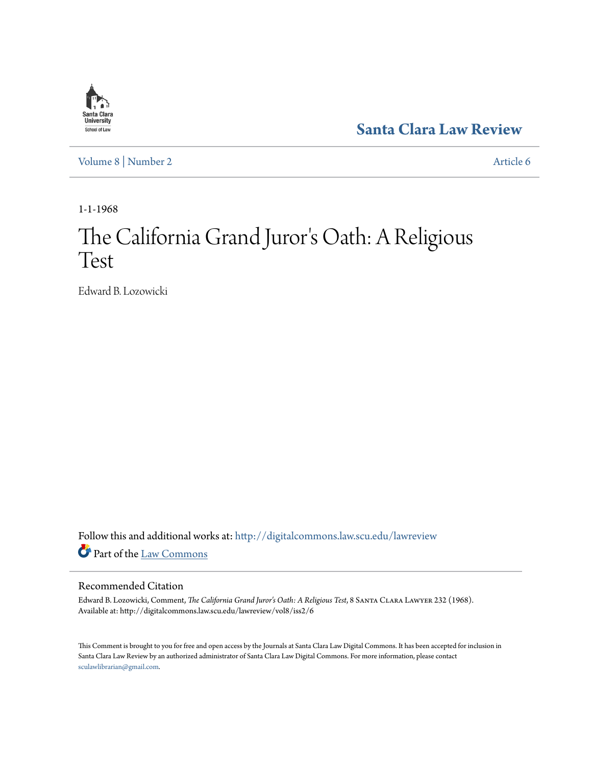

**[Santa Clara Law Review](http://digitalcommons.law.scu.edu/lawreview?utm_source=digitalcommons.law.scu.edu%2Flawreview%2Fvol8%2Fiss2%2F6&utm_medium=PDF&utm_campaign=PDFCoverPages)**

[Volume 8](http://digitalcommons.law.scu.edu/lawreview/vol8?utm_source=digitalcommons.law.scu.edu%2Flawreview%2Fvol8%2Fiss2%2F6&utm_medium=PDF&utm_campaign=PDFCoverPages) | [Number 2](http://digitalcommons.law.scu.edu/lawreview/vol8/iss2?utm_source=digitalcommons.law.scu.edu%2Flawreview%2Fvol8%2Fiss2%2F6&utm_medium=PDF&utm_campaign=PDFCoverPages) [Article 6](http://digitalcommons.law.scu.edu/lawreview/vol8/iss2/6?utm_source=digitalcommons.law.scu.edu%2Flawreview%2Fvol8%2Fiss2%2F6&utm_medium=PDF&utm_campaign=PDFCoverPages)

1-1-1968

# The California Grand Juror 's Oath: A Religious Test

Edward B. Lozowicki

Follow this and additional works at: [http://digitalcommons.law.scu.edu/lawreview](http://digitalcommons.law.scu.edu/lawreview?utm_source=digitalcommons.law.scu.edu%2Flawreview%2Fvol8%2Fiss2%2F6&utm_medium=PDF&utm_campaign=PDFCoverPages) Part of the [Law Commons](http://network.bepress.com/hgg/discipline/578?utm_source=digitalcommons.law.scu.edu%2Flawreview%2Fvol8%2Fiss2%2F6&utm_medium=PDF&utm_campaign=PDFCoverPages)

## Recommended Citation

Edward B. Lozowicki, Comment, *The California Grand Juror's Oath: A Religious Test*, 8 Santa Clara Lawyer 232 (1968). Available at: http://digitalcommons.law.scu.edu/lawreview/vol8/iss2/6

This Comment is brought to you for free and open access by the Journals at Santa Clara Law Digital Commons. It has been accepted for inclusion in Santa Clara Law Review by an authorized administrator of Santa Clara Law Digital Commons. For more information, please contact [sculawlibrarian@gmail.com](mailto:sculawlibrarian@gmail.com).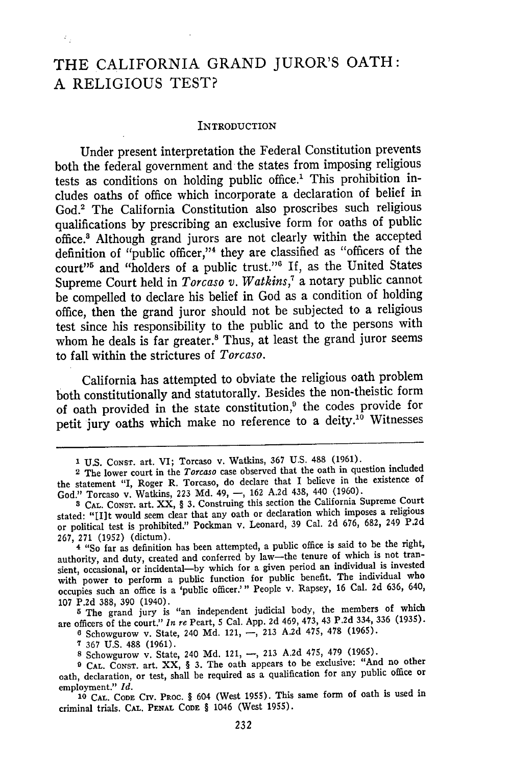## THE CALIFORNIA **GRAND** JUROR'S OATH: A RELIGIOUS TEST?

 $\tilde{c}_2$ 

#### INTRODUCTION

Under present interpretation the Federal Constitution prevents both the federal government and the states from imposing religious tests as conditions on holding public office.' This prohibition includes oaths of office which incorporate a declaration of belief in God.' The California Constitution also proscribes such religious qualifications by prescribing an exclusive form for oaths of public office.8 Although grand jurors are not clearly within the accepted definition of "public officer,"<sup>4</sup> they are classified as "officers of the court"<sup>5</sup> and "holders of a public trust."<sup>6</sup> If, as the United States Supreme Court held in *Torcaso v. Watkins,7* a notary public cannot be compelled to declare his belief in God as a condition of holding office, then the grand juror should not be subjected to a religious test since his responsibility to the public and to the persons with whom he deals is far greater.<sup>8</sup> Thus, at least the grand juror seems to fall within the strictures of *Torcaso.*

California has attempted to obviate the religious oath problem both constitutionally and statutorally. Besides the non-theistic form of oath provided in the state constitution,<sup>9</sup> the codes provide for petit jury oaths which make no reference to a deity.<sup>10</sup> Witnesses

<sup>5</sup> The grand jury is "an independent judicial body, the members of which are officers of the court." *In re* Peart, 5 Cal. App. **2d** 469, 473, 43 **P.2d** 334, **336** (1935).

**0** Schowgurow v. State, 240 **Md.** 121, -, **213** A.2d 475, 478 (1965).

**7 367** U.S. 488 (1961).

**8** Schowgurow v. State, 240 **Md.** 121, -, **213 A.2d** 475, 479 (1965).

**10 CAL. CODE** CIV. PROC. § 604 (West 1955). This same form of oath is used in criminal trials. **CAL. PENAL CODE** § 1046 (West **1955).**

**<sup>1</sup>** U.S. CONST. art. VI; Torcaso v. Watkins, 367 U.S. 488 (1961).

**<sup>2</sup>** The lower court in the *Torcaso* case observed that the oath in question included the statement "I, Roger R. Torcaso, do declare that I believe in the existence of God." Torcaso v. Watkins, **223 Md.** 49, **-, 162 A.2d** 438, 440 (1960).

**<sup>8</sup>**CAL. CONST. art. XX, § **3.** Construing this section the California Supreme Court stated: "[lIt would seem clear that any oath or declaration which imposes a religious or political test is prohibited." Pockman v. Leonard, **39** Cal. **2d** 676, 682, 249 **P.2d** 267, **271** (1952) (dictum).

**<sup>4</sup>** "So far as definition has been attempted, a public office is said to be the right, authority, and duty, created and conferred **by** law-the tenure of which is not transient, occasional, or incidental-by which for a given period an individual is invested with power to perform a public function for public benefit. The individual who occupies such an office is a 'public officer.'" People v. Rapsey, 16 Cal. **2d** 636, 640, 107 **P.2d** 388, **390** (1940).

**<sup>9</sup>**CAL. CONST. art. XX, § **3.** The oath appears to be exclusive: "And no other oath, declaration, or test, shall be required as a qualification for any public office or employment." *Id.*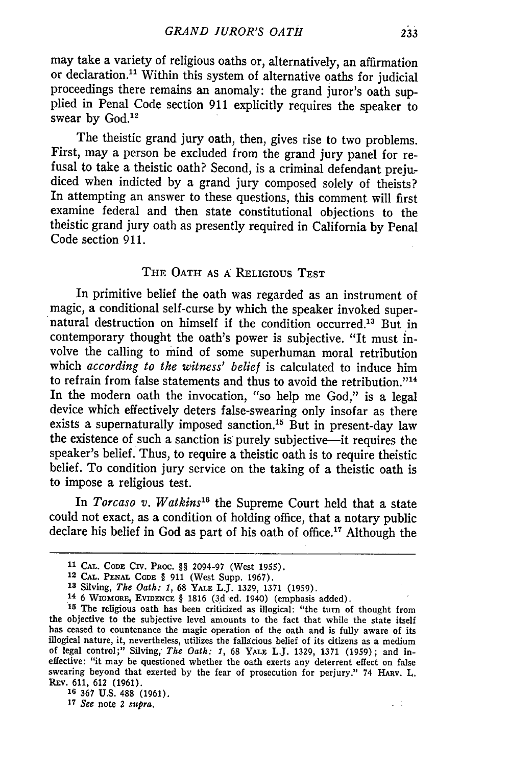may take a variety of religious oaths or, alternatively, an affirmation or declaration.<sup>11</sup> Within this system of alternative oaths for judicial proceedings there remains an anomaly: the grand juror's oath supplied in Penal Code section 911 explicitly requires the speaker to swear by God.<sup>12</sup>

The theistic grand jury oath, then, gives rise to two problems. First, may a person be excluded from the grand jury panel for refusal to take a theistic oath? Second, is a criminal defendant prejudiced when indicted by a grand jury composed solely of theists? In attempting an answer to these questions, this comment will first examine federal and then state constitutional objections to the theistic grand jury oath as presently required in California by Penal Code section 911.

## THE OATH **AS** A RELIGIOUS TEST

In primitive belief the oath was regarded as an instrument of magic, a conditional self-curse **by** which the speaker invoked supernatural destruction on himself if the condition occurred.<sup>13</sup> But in contemporary thought the oath's power is subjective. "It must involve the calling to mind of some superhuman moral retribution which *according to the witness' belief* is calculated to induce him to refrain from false statements and thus to avoid the retribution."<sup>14</sup> In the modern oath the invocation, *"so* help me God," is a legal device which effectively deters false-swearing only insofar as there exists a supernaturally imposed sanction.<sup>15</sup> But in present-day law the existence of such a sanction is purely subjective-it requires the speaker's belief. Thus, to require a theistic oath is to require theistic belief. To condition jury service on the taking of a theistic oath is to impose a religious test.

In *Torcaso v. Watkins*<sup>16</sup> the Supreme Court held that a state could not exact, as a condition of holding office, that a notary public declare his belief in God as part of his oath of office." Although the

**14** 6 WIGMORE, EVIDENCE § 1816 (3d ed. 1940) (emphasis added).<br><sup>15</sup> The religious oath has been criticized as illogical: "the turn of thought from

**17** *See* note 2 *supra.*

 $\sim$   $^{-1}$ 

**<sup>11</sup> CAL. CODE** CIv. PROC. §§ 2094-97 (West 1955).

**<sup>12</sup> CAL. PENAL CODE** § **911** (West Supp. 1967).

**<sup>&#</sup>x27;3** Silving, *The Oath: 1,* 68 YALE L.J. 1329, 1371 **(1959).** 14 6 WlGMOma, EVIDENCE § 1816 (3d ed. 1940) (emphasis added).

the objective to the subjective level amounts to the fact that while the state itself has ceased to countenance the magic operation of the oath and is fully aware of its illogical nature, it, nevertheless, utilizes the fallacious belief of its citizens as a medium of legal control;" Silving, *The Oath: 1,* 68 YALE L.J. 1329, 1371 (1959) ; and ineffective: "it may be questioned whether the oath exerts any deterrent effect on false swearing beyond that exerted by the fear of prosecution for perjury." 74 HARV. I., Rv. 611, 612 (1961).

**<sup>16</sup>** 367 U.S. 488 (1961).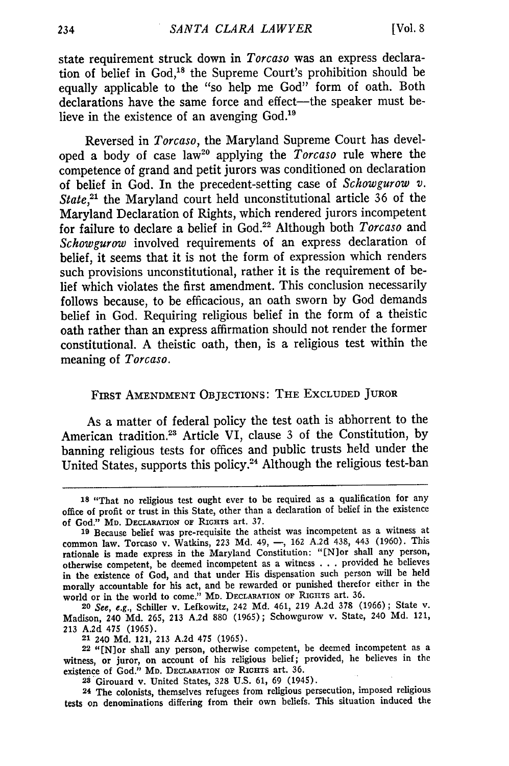state requirement struck down in *Torcaso* was an express declaration of belief in God,18 the Supreme Court's prohibition should be equally applicable to the "so help me God" form of oath. Both declarations have the same force and effect—the speaker must believe in the existence of an avenging God.<sup>19</sup>

Reversed in *Torcaso,* the Maryland Supreme Court has developed a body of case law2° applying the *Torcaso* rule where the competence of grand and petit jurors was conditioned on declaration of belief in God. In the precedent-setting case of *Schowgurow v.* State,<sup>21</sup> the Maryland court held unconstitutional article 36 of the Maryland Declaration of Rights, which rendered jurors incompetent for failure to declare a belief in God.22 Although both *Torcaso* and *Schowgurow* involved requirements of an express declaration of belief, it seems that it is not the form of expression which renders such provisions unconstitutional, rather it is the requirement of belief which violates the first amendment. This conclusion necessarily follows because, to be efficacious, an oath sworn by God demands belief in God. Requiring religious belief in the form of a theistic oath rather than an express affirmation should not render the former constitutional. A theistic oath, then, is a religious test within the meaning of *Torcaso.*

## FIRST **AMENDMENT** OBJECTIONS: THE EXCLUDED JUROR

As a matter of federal policy the test oath is abhorrent to the American tradition.<sup>23</sup> Article VI, clause 3 of the Constitution, by banning religious tests for offices and public trusts held under the United States, supports this policy.24 Although the religious test-ban

**<sup>18</sup>**"That no religious test ought ever to be required as a qualification for any office of profit or trust in this State, other than a declaration of belief in the existence of God." **MD. DECLARATION OF** RIGHTs art. **37.**

**<sup>19</sup>**Because belief was pre-requisite the atheist was incompetent as a witness at common law. Torcaso v. Watkins, **223 Md.** 49, **-, 162** A.2d 438, 443 (1960). This rationale is made express in the Maryland Constitution: "[N]or shall any person, otherwise competent, be deemed incompetent as a witness . . . provided he believes in the existence of God, and that under His dispensation such person will be held morally accountable for his act, and be rewarded or punished therefor either in the world or in the world to come." MD. **DECLARATION OF RIGIITS** art. 36.

**<sup>20</sup>** See, e.g., Schiller v. Lefkowitz, 242 **Md.** 461, **219 A.2d** 378 (1966); State v. Madison, 240 **Md.** 265, **213** A.2d **880** (1965); Schowgurow v. State, 240 **Md.** 121, **213** A.2d 475 (1965).

**<sup>21</sup>** 240 **Md.** 121, 213 A.2d 475 (1965).

**<sup>22 &</sup>quot;[N]or** shall any person, otherwise competent, be deemed incompetent as a witness, or juror, on account of his religious belief; provided, he believes in the existence of God." MD. **DECLARATION OF RIGHTs** art. **36.**

**<sup>28</sup>** Girouard v. United States, 328 U.S. **61, 69** (1945).

**<sup>24</sup>** The colonists, themselves refugees from religious persecution, imposed religious tests on denominations differing from their own beliefs. This situation induced the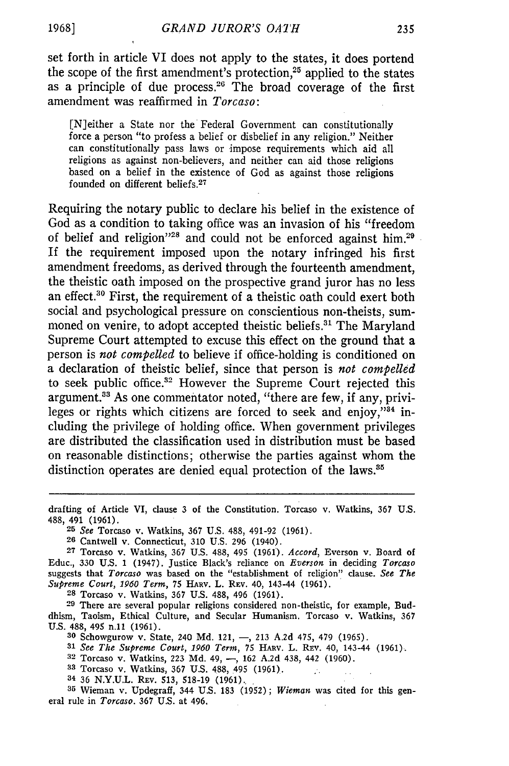set forth in article VI does not apply to the states, it does portend the scope of the first amendment's protection,<sup>25</sup> applied to the states as a principle of due process.<sup>26</sup> The broad coverage of the first amendment was reaffirmed in *Torcaso:*

[N]either a State nor the Federal Government can constitutionally force a person "to profess a belief or disbelief in any religion." Neither can constitutionally pass laws or impose requirements which aid all religions as against non-believers, and neither can aid those religions based on a belief in the existence of God as against those religions founded on different beliefs. <sup>27</sup>

Requiring the notary public to declare his belief in the existence of God as a condition to taking office was an invasion of his "freedom of belief and religion"<sup>28</sup> and could not be enforced against him.<sup>29</sup> If the requirement imposed upon the notary infringed his first amendment freedoms, as derived through the fourteenth amendment, the theistic oath imposed on the prospective grand juror has no less an effect.<sup>30</sup> First, the requirement of a theistic oath could exert both social and psychological pressure on conscientious non-theists, summoned on venire, to adopt accepted theistic beliefs.<sup>31</sup> The Maryland Supreme Court attempted to excuse this effect on the ground that a person is *not compelled* to believe if office-holding is conditioned on a declaration of theistic belief, since that person is *not compelled* to seek public office.<sup>32</sup> However the Supreme Court rejected this argument.<sup>33</sup> As one commentator noted, "there are few, if any, privileges or rights which citizens are forced to seek and enjoy," $34$  including the privilege of holding office. When government privileges are distributed the classification used in distribution must be based on reasonable distinctions; otherwise the parties against whom the distinction operates are denied equal protection of the laws.<sup>35</sup>

**25** See Torcaso v. Watkins, 367 U.S. 488, 491-92 (1961).

**26** Cantwell v. Connecticut, 310 U.S. 296 (1940).

**29** There are several popular religions considered non-theistic, for example, Buddhism, Taoism, Ethical Culture, and Secular Humanism. Torcaso v. Watkins, 367 U.S. 488, 495 n.11 (1961).

**30** Schowgurow v. State, 240 **Md.** 121, **-,** 213 A.2d 475, 479 (1965).

**31** *See The Supreme Court, 1960 Term,* 75 HARV. L. RFv. 40, 143-44 (1961).

- **32** Torcaso v. Watkins, 223 Md. 49, **-,** 162 A.2d 438, 442 (1960).
- **33** Torcaso v. Watkins, **367** U.S. 488, 495 (1961).
- **<sup>34</sup>**36 N.Y.U.L. REv. 513, 518-19 (1961).

**35** Wieman v. Updegraff, 344 U.S. 183 (1952); *Wieman* was cited for this general rule in *Torcaso.* 367 U.S. at 496.

drafting of Article VI, clause 3 of the Constitution. Torcaso v. Watkins, 367 U.S. 488, 491 (1961).

**<sup>27</sup>**Torcaso v. Watkins, 367 U.S. 488, 495 (1961). *Accord,* Everson v. Board of Educ., 330 U.S. 1 (1947). Justice Black's reliance on *Everson* in deciding *Torcaso* suggests that *Torcaso* was based on the "establishment of religion" clause. *See The Supreme Court, 1960 Term,* 75 **HARv.** *L.* REv. 40, 143-44 (1961). **<sup>28</sup>**Torcaso v. Watkins, 367 U.S. 488, 496 (1961).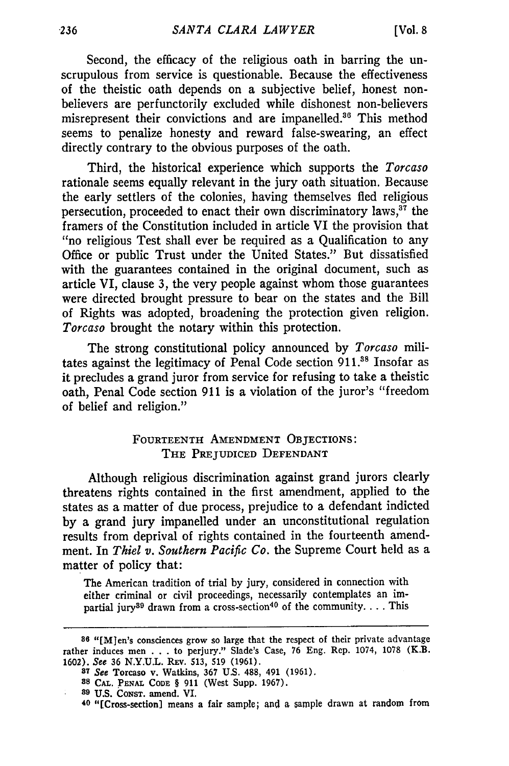Second, the efficacy of the religious oath in barring the unscrupulous from service is questionable. Because the effectiveness of the theistic oath depends on a subjective belief, honest nonbelievers are perfunctorily excluded while dishonest non-believers misrepresent their convictions and are impanelled.<sup>36</sup> This method seems to penalize honesty and reward false-swearing, an effect directly contrary to the obvious purposes of the oath.

Third, the historical experience which supports the *Torcaso* rationale seems equally relevant in the jury oath situation. Because the early settlers of the colonies, having themselves fled religious persecution, proceeded to enact their own discriminatory laws, $37$  the framers of the Constitution included in article VI the provision that "no religious Test shall ever be required as a Qualification to any Office or public Trust under the United States." But dissatisfied with the guarantees contained in the original document, such as article VI, clause 3, the very people against whom those guarantees were directed brought pressure to bear on the states and the Bill of Rights was adopted, broadening the protection given religion. *Torcaso* brought the notary within this protection.

The strong constitutional policy announced by *Torcaso* militates against the legitimacy of Penal Code section **911.88** Insofar as it precludes a grand juror from service for refusing to take a theistic oath, Penal Code section 911 is a violation of the juror's "freedom of belief and religion."

## **FOURTEENTH** AMENDMENT OBJECTIONS: THE PREJUDICED DEFENDANT

Although religious discrimination against grand jurors clearly threatens rights contained in the first amendment, applied to the states as a matter of due process, prejudice to a defendant indicted by a grand jury impanelled under an unconstitutional regulation results from deprival of rights contained in the fourteenth amendment. In *Thiel v. Southern Pacific Co.* the Supreme Court held as a matter of policy that:

The American tradition of trial by jury, considered in connection with either criminal or civil proceedings, necessarily contemplates an impartial jury<sup>89</sup> drawn from a cross-section<sup>40</sup> of the community.... This

**<sup>86</sup>**"[MJen's consciences grow so large that the respect of their private advantage rather induces men . . . to perjury." Slade's Case, 76 Eng. Rep. 1074, 1078 (K.B. 1602). See 36 N.Y.U.L. REv. **513, 519 (1961).**

**<sup>87</sup>** See Torcaso v. Watkins, 367 U.S. 488, 491 (1961).

**<sup>88</sup> CAL. PENAL CODE** § 911 (West Supp. 1967).

**<sup>89</sup>** U.S. CONST. amend. VI.

**<sup>40</sup>** "[Cross-section] means a fair sample; and *a* sample drawn at random from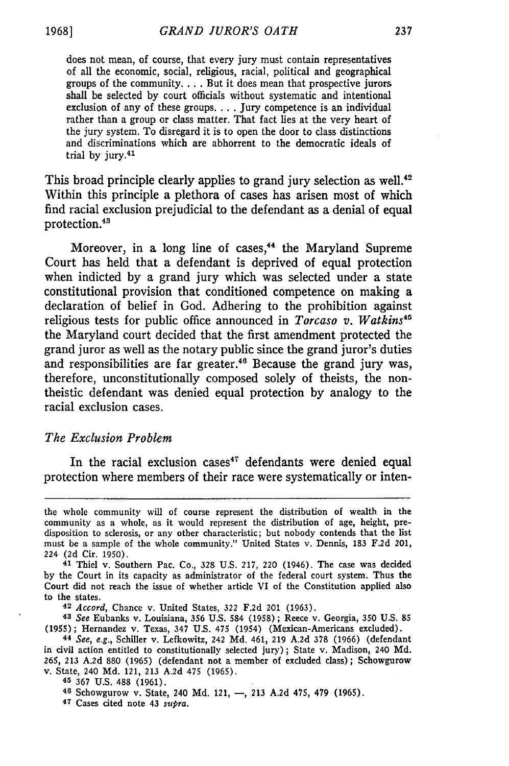does not mean, of course, that every jury must contain representatives of all the economic, social, religious, racial, political and geographical groups of the community.... But it does mean that prospective jurors shall **be** selected by court officials without systematic and intentional exclusion of any of these groups **....** Jury competence is an individual rather than a group or class matter. That fact lies at the very heart of the jury system. To disregard it is to open the door to class distinctions and discriminations which are abhorrent to the democratic ideals of trial by jury.41

This broad principle clearly applies to grand jury selection as well.<sup>42</sup> Within this principle a plethora of cases has arisen most of which find racial exclusion prejudicial to the defendant as a denial of equal protection.43

Moreover, in a long line of cases,<sup>44</sup> the Maryland Supreme Court has held that a defendant is deprived of equal protection when indicted **by** a grand jury which was selected under a state constitutional provision that conditioned competence on making a declaration of belief in God. Adhering to the prohibition against religious tests for public office announced in *Torcaso v. Watkins45* the Maryland court decided that the first amendment protected the grand juror as well as the notary public since the grand juror's duties and responsibilities are far greater.<sup>46</sup> Because the grand jury was, therefore, unconstitutionally composed solely of theists, the nontheistic defendant was denied equal protection **by** analogy to the racial exclusion cases.

## *The Exclusion Problem*

In the racial exclusion cases<sup> $47$ </sup> defendants were denied equal protection where members of their race were systematically or inten-

*42 Accord,* Chance v. United States, 322 F.2d 201 (1963).

**<sup>43</sup>***See* Eubanks v. Louisiana, 356 U.S. 584 (1958) ; Reece v. Georgia, 350 U.S. 85 (1955); Hernandez v. Texas, 347 U.S. 475 (1954) (Mexican-Americans excluded).

**<sup>47</sup>**Cases cited note 43 *supra.*

the whole community will of course represent the distribution of wealth in the community as a whole, as it would represent the distribution of age, height, predisposition to sclerosis, or any other characteristic; but nobody contends that the list must be a sample of the whole community." United States v. Dennis, 183 F.2d 201, 224 (2d Cir. 1950). 41 Thiel v. Southern Pac. Co., 328 U.S. 217, 220 (1946). The case was decided

by the Court in its capacity as administrator of the federal court system. Thus the Court did not reach the issue of whether article VI of the Constitution applied also to the states.

**<sup>44</sup>***See, e.g.,* Schiller v. Lefkowitz, 242 Md. 461, 219 A.2d 378 (1966) (defendant in civil action entitled to constitutionally selected jury); State v. Madison, 240 Md. 265, 213 A.2d 880 (1965) (defendant not a member of excluded class); Schowgurow v. State, 240 Md. 121, 213 A.2d 475 (1965).

**<sup>45</sup>**367 U.S. 488 (1961).

<sup>46</sup> Schowgurow v. State, 240 Md. 121, -, 213 A.2d 475, 479 (1965).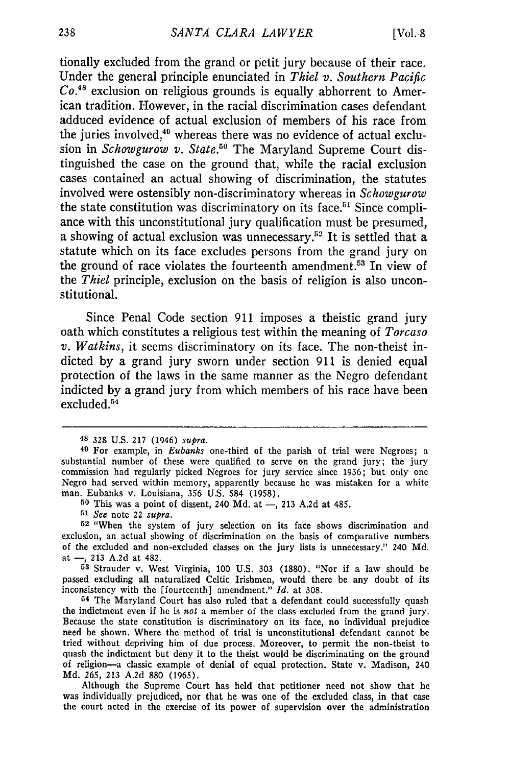tionally excluded from the grand or petit jury because of their race. Under the general principle enunciated in *Thiel v. Southern Pacific Co.48* exclusion on religious grounds is equally abhorrent to American tradition. However, in the racial discrimination cases defendant adduced evidence of actual exclusion of members of his race from the juries involved,<sup>49</sup> whereas there was no evidence of actual exclusion in *Schowgurow v. State.50* The Maryland Supreme Court distinguished the case on the ground that, while the racial exclusion cases contained an actual showing of discrimination, the statutes involved were ostensibly non-discriminatory whereas in *Schowgurow* the state constitution was discriminatory on its face.<sup>51</sup> Since compliance with this unconstitutional jury qualification must be presumed, a showing of actual exclusion was unnecessary.52 It is settled that a statute which on its face excludes persons from the grand jury on the ground of race violates the fourteenth amendment.<sup>53</sup> In view of the *Thiel* principle, exclusion on the basis of religion is also unconstitutional.

Since Penal Code section 911 imposes a theistic grand jury oath which constitutes a religious test within the meaning of *Torcaso v. Watkins,* it seems discriminatory on its face. The non-theist indicted by a grand jury sworn under section 911 is denied equal protection of the laws in the same manner as the Negro defendant indicted by a grand jury from which members of his race have been excluded.<sup>54</sup>

<sup>48 328</sup> U.S. 217 (1946) *supra.*

**<sup>49</sup>**For example, in *Eubanks* one-third of the parish of trial were Negroes; a substantial number of these were qualified to serve on the grand jury; the jury commission had regularly picked Negroes for jury service since 1936; but only one Negro had served within memory, apparently because he was mistaken for a white man. Eubanks v. Louisiana, 356 U.S. 584 (1958).

**<sup>50</sup>** This was a point of dissent, 240 Md. at *-,* 213 A.2d at 485.

*<sup>51</sup> See* note 22 *supra.*

**<sup>52</sup>** "When the system of jury selection on its face shows discrimination and exclusion, an actual showing of discrimination on the basis of comparative numbers of the excluded and non-excluded classes on the jury lists is unnecessary." 240 Md. at -, 213 A.2d at 482.

**<sup>53</sup>**Strauder v. West Virginia, 100 U.S. 303 (1880). "Nor if a law should be passed excluding all naturalized Celtic Irishmen, would there be any doubt of its inconsistency with the [fourteenth] amendment." *Id.* at 308.

**<sup>54</sup>**The Maryland Court has also ruled that a defendant could successfully quash the indictment even if he is *not* a member of the class excluded from the grand jury. Because the state constitution is discriminatory on its face, no individual prejudice need be shown. Where the method of trial is unconstitutional defendant cannot be tried without depriving him of due process. Moreover, to permit the non-theist to quash the indictment but deny it to the theist would be discriminating on the ground of religion-a classic example of denial of equal protection. State v. Madison, 240 Md. 265, 213 A.2d 880 (1965).

Although the Supreme Court has held that petitioner need not show that he was individually prejudiced, nor that he was one of the excluded class, in that case the court acted in the exercise of its power of supervision over the administration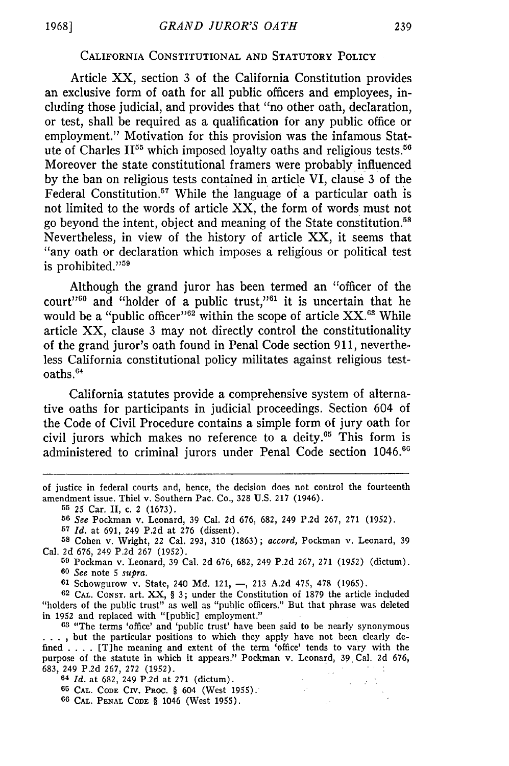## CALIFORNIA CONSTITUTIONAL **AND** STATUTORY **POLICY**

Article XX, section 3 of the California Constitution provides an exclusive form of oath for all public officers and employees, including those judicial, and provides that "no other oath, declaration, or test, shall be required as a qualification for any public office or employment." Motivation for this provision was the infamous Statute of Charles II55 which imposed loyalty oaths and religious tests.<sup>56</sup> Moreover the state constitutional framers were probably influenced by the ban on religious tests contained in article VI, clause 3 of the Federal Constitution.57 While the language of a particular oath is not limited to the words of article XX, the form of words must not go beyond the intent, object and meaning of the State constitution.<sup>58</sup> Nevertheless, in view of the history of article XX, it seems that "any oath or declaration which imposes a religious or political test is prohibited."<sup>59</sup>

Although the grand juror has been termed an "officer of the court"<sup>60</sup> and "holder of a public trust,"<sup>61</sup> it is uncertain that he would be a "public officer"<sup>62</sup> within the scope of article  $XX$ .<sup>63</sup> While article XX, clause 3 may not directly control the constitutionality of the grand juror's oath found in Penal Code section **911,** nevertheless California constitutional policy militates against religious testoaths.<sup>64</sup>

California statutes provide a comprehensive system of alternative oaths for participants in judicial proceedings. Section 604 of the Code of Civil Procedure contains a simple form of jury oath for civil jurors which makes no reference to a deity.<sup>65</sup> This form is administered to criminal jurors under Penal Code section 1046.<sup>66</sup>

**56** *See* Pockman v. Leonard, 39 Cal. 2d 676, 682, 249 P.2d 267, 271 (1952).

**<sup>57</sup>***Id.* at 691, 249 P.2d at 276 (dissent).

**<sup>58</sup>**Cohen v. Wright, 22 Cal. 293, 310 (1863); *accord,* Pockman v. Leonard, 39 Cal. 2d 676, 249 P.2d 267 (1952).

**<sup>69</sup>**Pockman v. Leonard, 39 Cal. 2d 676, 682, 249 P.2d 267, 271 (1952) (dictum). **60** *See* note 5 *supra.*

**61** Schowgurow v. State, 240 Md. 121, -, 213 A.2d 475, 478 (1965).

**62** CAL. CONST. art. XX, § 3; under the Constitution of 1879 the article included "holders of the public trust" as well as "public officers." But that phrase was deleted in 1952 and replaced with "[public] employment."

**63** "The terms 'office' and 'public trust' have been said to be nearly synonymous **.. .**but the particular positions to which they apply have not been clearly defined .**. .** .[T]he meaning and extent of the term 'office' tends to vary with the purpose of the statute in which it appears." Pockman v. Leonard, 39 Cal. 2d 676, 683, 249 P.2d 267, 272 (1952).

 $\mathcal{L}^{\text{max}}_{\text{max}}$  and  $\mathcal{L}^{\text{max}}_{\text{max}}$ 

**64** *Id.* at 682, 249 P.2d at 271 (dictum).

**65 CAL. CODE CIv.** PROC. § 604 (West 1955).

**66 CAL. PENAL CODE** § 1046 (West 1955).

of justice in federal courts and, hence, the decision does not control the fourteenth amendment issue. Thiel v. Southern Pac. Co., 328 **U.S.** 217 (1946).

**<sup>55</sup>**25 Car. II, c. 2 (1673).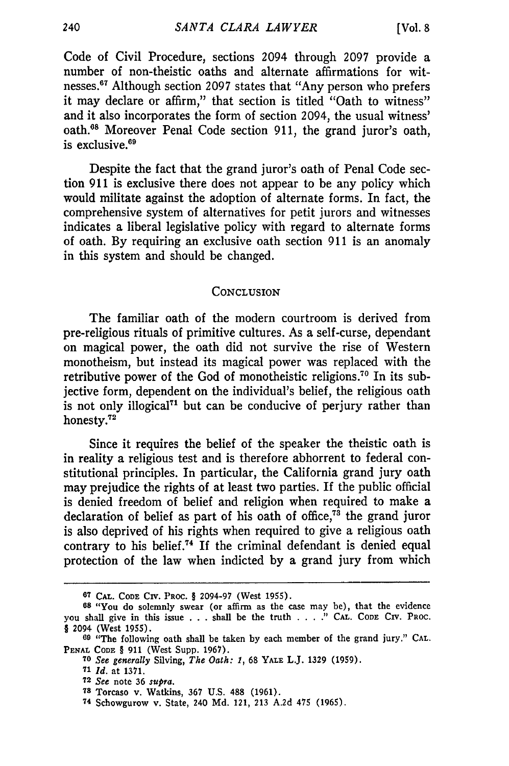Code of Civil Procedure, sections 2094 through 2097 provide a number of non-theistic oaths and alternate affirmations for witnesses.<sup>67</sup> Although section 2097 states that "Any person who prefers it may declare or affirm," that section is titled "Oath to witness" and it also incorporates the form of section 2094, the usual witness' oath.<sup>68</sup> Moreover Penal Code section 911, the grand juror's oath, is exclusive. $69$ 

Despite the fact that the grand juror's oath of Penal Code section 911 is exclusive there does not appear to be any policy which would militate against the adoption of alternate forms. In fact, the comprehensive system of alternatives for petit jurors and witnesses indicates a liberal legislative policy with regard to alternate forms of oath. By requiring an exclusive oath section 911 is an anomaly in this system and should be changed.

#### **CONCLUSION**

The familiar oath of the modern courtroom is derived from pre-religious rituals of primitive cultures. As a self-curse, dependant on magical power, the oath did not survive the rise of Western monotheism, but instead its magical power was replaced with the retributive power of the God of monotheistic religions.<sup>70</sup> In its subjective form, dependent on the individual's belief, the religious oath is not only illogical<sup> $71$ </sup> but can be conducive of perjury rather than honesty.<sup>72</sup>

Since it requires the belief of the speaker the theistic oath is in reality a religious test and is therefore abhorrent to federal constitutional principles. In particular, the California grand jury oath may prejudice the rights of at least two parties. If the public official is denied freedom of belief and religion when required to make a declaration of belief as part of his oath of office, $7^3$  the grand juror is also deprived of his rights when required to give a religious oath contrary to his belief.<sup>74</sup> If the criminal defendant is denied equal protection of the law when indicted by a grand jury from which

**<sup>67</sup> CAL. CODE CIV. PROC.** § **2094-97** (West 1955).

**<sup>68</sup>**"You do solemnly swear (or affirm as the case may be), that the evidence you shall give in this issue . . . shall be the truth . . . . " CAL. CODE CIV. PROC. *§* 2094 (West 1955).

**<sup>69</sup>** "The following oath shall be taken by each member of the grand jury." **CAL. PENAL CODE** § 911 (West Supp. 1967). **<sup>70</sup>***See generally* Silving, *The Oath: 1,* 68 YALE L.J. **1329 (1959).**

**<sup>71</sup>** *Id.* at **1371.**

**<sup>72</sup>** *See* note **36** *supra.*

**<sup>78</sup>** Torcaso v. Watkins, 367 U.S. **488** (1961).

**<sup>74</sup>** Schowgurow v. State, 240 **Md.** 121, **213** A.2d 475 (1965).